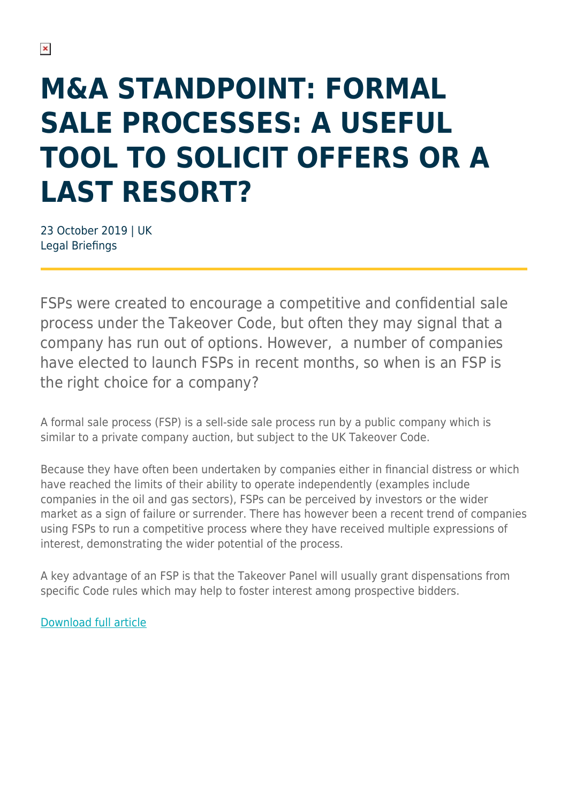## **M&A STANDPOINT: FORMAL SALE PROCESSES: A USEFUL TOOL TO SOLICIT OFFERS OR A LAST RESORT?**

23 October 2019 | UK Legal Briefings

FSPs were created to encourage a competitive and confidential sale process under the Takeover Code, but often they may signal that a company has run out of options. However, a number of companies have elected to launch FSPs in recent months, so when is an FSP is the right choice for a company?

A formal sale process (FSP) is a sell-side sale process run by a public company which is similar to a private company auction, but subject to the UK Takeover Code.

Because they have often been undertaken by companies either in financial distress or which have reached the limits of their ability to operate independently (examples include companies in the oil and gas sectors), FSPs can be perceived by investors or the wider market as a sign of failure or surrender. There has however been a recent trend of companies using FSPs to run a competitive process where they have received multiple expressions of interest, demonstrating the wider potential of the process.

A key advantage of an FSP is that the Takeover Panel will usually grant dispensations from specific Code rules which may help to foster interest among prospective bidders.

[Download full article](https://www.herbertsmithfreehills.com/file/39181/download?token=Q17AjEkw)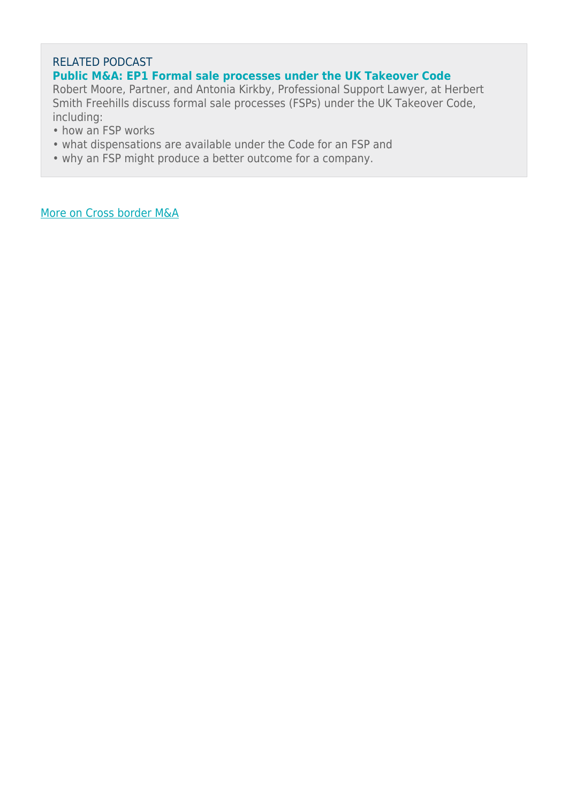## RELATED PODCAST **Public M&A: EP1 Formal sale processes under the UK Takeover Code**

Robert Moore, Partner, and Antonia Kirkby, Professional Support Lawyer, at Herbert Smith Freehills discuss formal sale processes (FSPs) under the UK Takeover Code, including:

- how an FSP works
- what dispensations are available under the Code for an FSP and
- why an FSP might produce a better outcome for a company.

[More on Cross border M&A](https://www.herbertsmithfreehills.com/latest-thinking/hubs/cross-border-ma)